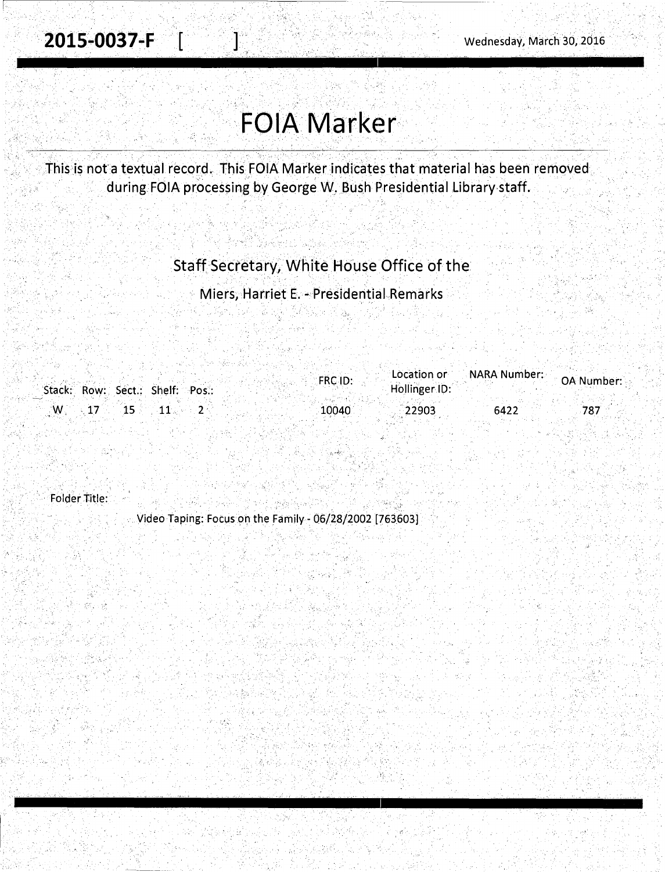$\epsilon$  ,  $\kappa$  ,  $\epsilon$  ,  $\epsilon$ 

# **FOIA Marker**

This is not a textual record. This FOIA Marker indicates that material has been removed during FOIA processing by George W. Bush Presidential Library staff.

### Staff Secretary, White House Office of the

Miers, Harriet E. - PresidentiaLRemarks

|  |                                                      | <b>FRC ID:</b> | $\blacksquare$ Location or $\blacksquare$ | NARA Number: | <b>OA Number:</b> |
|--|------------------------------------------------------|----------------|-------------------------------------------|--------------|-------------------|
|  | Stack: Row: Sect.: Shelf: Pos.:                      |                | Hollinger ID:                             |              |                   |
|  |                                                      |                |                                           |              |                   |
|  | $\mathsf{W}_\mathrm{s}=17$ and $11$ and $2$ and $11$ | 10040          | 22903                                     | 6422         |                   |
|  |                                                      |                |                                           |              |                   |

ng Provi

. . ' . ' Folder Title:

. Video Taping: Focus on the Family - 06/28/2002 [763603]

1. 부부 보호

ng, 197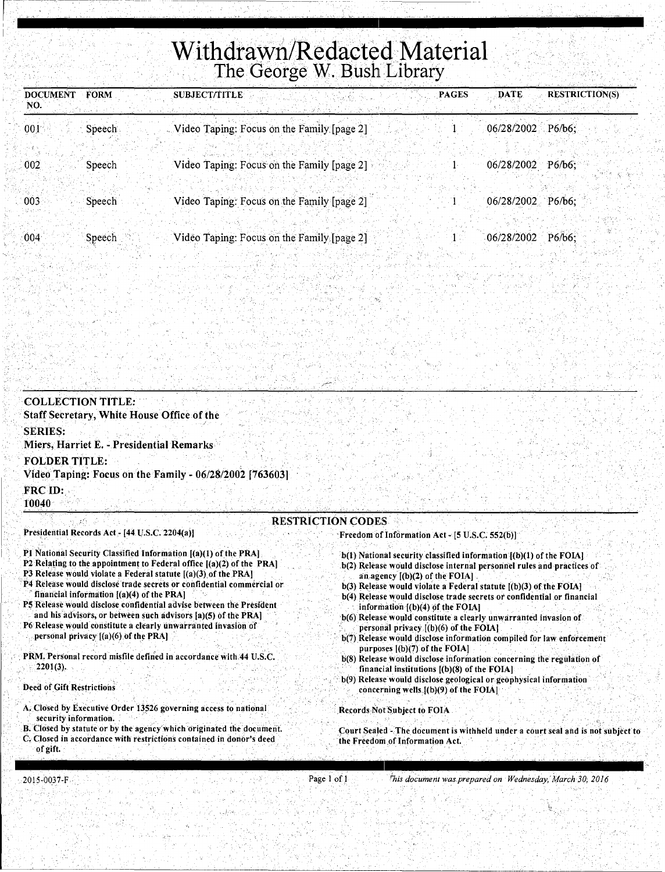## Withdrawn/Redacted Material The George W. Bush Library

| <b>DOCUMENT</b><br>NO. | <b>FORM</b> | <b>SUBJECT/TITLE</b><br><b>PAGES</b>       | DATE                | <b>RESTRICTION(S)</b> |
|------------------------|-------------|--------------------------------------------|---------------------|-----------------------|
| 001                    | Speech      | Video Taping: Focus on the Family [page 2] | 06/28/2002          | P6/b6                 |
| 002                    | Speech      | Video Taping: Focus on the Family [page 2] | 06/28/2002          | $P6/b6$ :             |
| 003                    | Speech      | Video Taping: Focus on the Family [page 2] | $06/28/2002$ P6/b6; |                       |
| 004                    | Speech      | Video Taping: Focus on the Family [page 2] | 06/28/2002          | $P6/b6$ :             |

#### **COLLECTION TITLE:** Staff Secretary, White House Office of the **SERIES:** Miers, Harriet E. - Presidential Remarks **FOLDER TITLE:** Video Taping: Focus on the Family - 06/28/2002 [763603] FRC ID: 10040 **RESTRICTION CODES** Presidential Records Act - [44 U.S.C. 2204(a)] Freedom of Information Act - [5 U.S.C. 552(b)] P1 National Security Classified Information [(a)(1) of the PRA] b(1) National security classified information [(b)(1) of the FOIA] P2 Relating to the appointment to Federal office  $[(a)(2)$  of the PRA] b(2) Release would disclose internal personnel rules and practices of P3 Release would violate a Federal statute [(a)(3) of the PRA] an agency  $[(b)(2)$  of the FOIA]

- P4 Release would disclose trade secrets or confidential commercial or financial information [(a)(4) of the PRA]
- P5 Release would disclose confidential advise between the President and his advisors, or between such advisors [a)(5) of the PRA]
- P6 Release would constitute a clearly unwarranted invasion of personal privacy [(a)(6) of the PRA]
- PRM. Personal record misfile defined in accordance with 44 U.S.C.  $2201(3)$ .
- **Deed of Gift Restrictions**
- A. Closed by Executive Order 13526 governing access to national security information.
- B. Closed by statute or by the agency which originated the document.
- C. Closed in accordance with restrictions contained in donor's deed of gift.
- b(3) Release would violate a Federal statute [(b)(3) of the FOIA]
- b(4) Release would disclose trade secrets or confidential or financial information [(b)(4) of the FOIA]
- b(6) Release would constitute a clearly unwarranted invasion of personal privacy  $[(b)(6)$  of the FOIA]
- b(7) Release would disclose information compiled for law enforcement purposes [(b)(7) of the FOIA]
- b(8) Release would disclose information concerning the regulation of financial institutions [(b)(8) of the FOIA]
- b(9) Release would disclose geological or geophysical information concerning wells [(b)(9) of the FOIA]

Records Not Subject to FOIA

Court Sealed - The document is withheld under a court seal and is not subject to the Freedom of Information Act.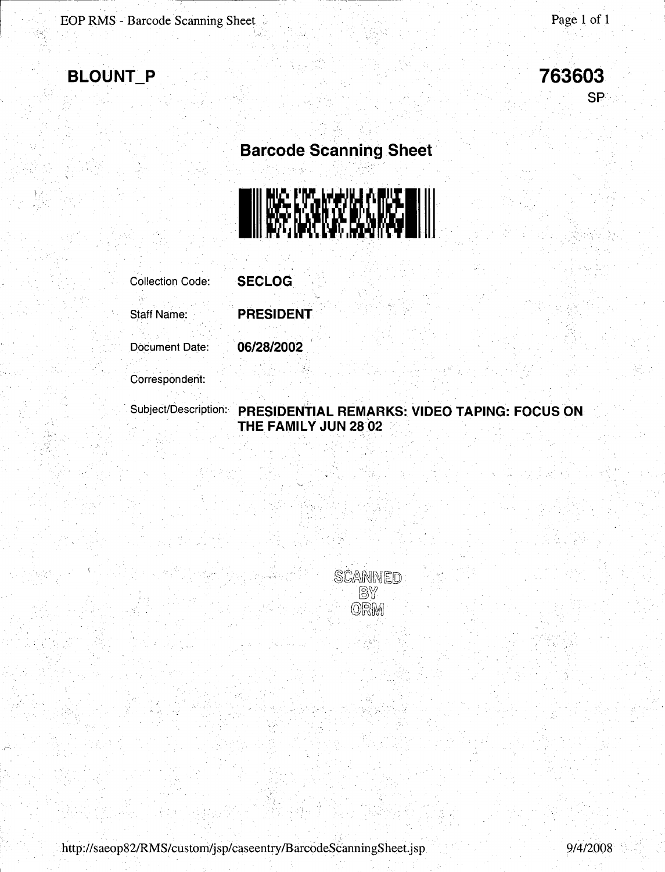) '

r·



**763603**  SP

### **Barcode Scanning Sheet**



Collection Code: **SECLOG** 

Staff Name: **PRESIDENT** 

Document Date: **06/28/2002** 

Correspondent:

### . Subject/Description: **PRESIDENTIAL REMARKS: VIDEO TAPING: FOCUS ON THE FAMILY JUN 28 02**



. http://saeop82/RMS/custom/jsp/caseentry/BarcodeScanningSheet.jsp 9/4/2008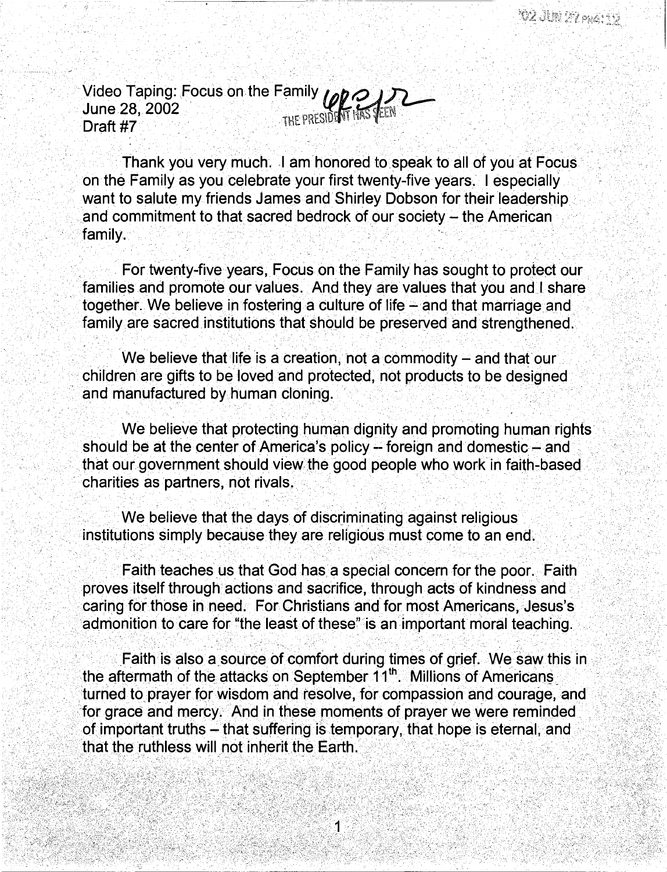Video Taping: Focus on the Family  $\log Q$ June 28, 2002  $\frac{1}{1}$  if President HAS  $\frac{1}{1}$ EPRESIDENT IN STEEN

Thank you very much. I am honored to speak to all of you at Focus. · on the Family as you celebrate your first twenty-five years. I especially want to salute my friends James and Shirley Dobson for their leadership and commitment to that sacred bedrock of our society  $-$  the American family. · . . . . . . . . ' . . .. , . , - .

For twenty-five years, Focus on the Family has sought to protect our families and promote our values. And they are values that you and I share· together. We believe in fostering a culture of life - and that marriage and family are sacred institutions that Should be preserved and strengthened.

We believe that life is a creation, not a commodity  $-$  and that our children are gifts to be loved and protected, not products to be designed and manufactured by human cloning.

의 사이가 있다는 사람, 책임, 이러지 (해외와)의, 민사는 이 사장, 장소가 문론했어. 역

We believe that protecting human dignity and promoting human rights should be at the center of America's policy -- foreign and domestic -- and that our government should view the good people who work in faith-based charities as partners, not rivals ..

We believe that the days of discriminating against religious institutions simply because they are religious must come to an end.

Faith teaches us that God has a special concern for the poor. Faith proves itself through actions and sacrifice, through acts of kindness and caring for those in need. For Christians and for most Americans, Jesus's admonition to care for "the least of these" is an important moral teaching.

Faith is also a source of comfort during times of grief. We saw this in the aftermath of the attacks on September 11<sup>th</sup>. Millions of Americans turned to prayer for wisdom and resolve, for compassion and courage, and for grace and mercy. And in these moments of prayer we were reminded of important truths - that suffering is temporary, that hope is eternal, and that the ruthless will not inherit the Earth.

1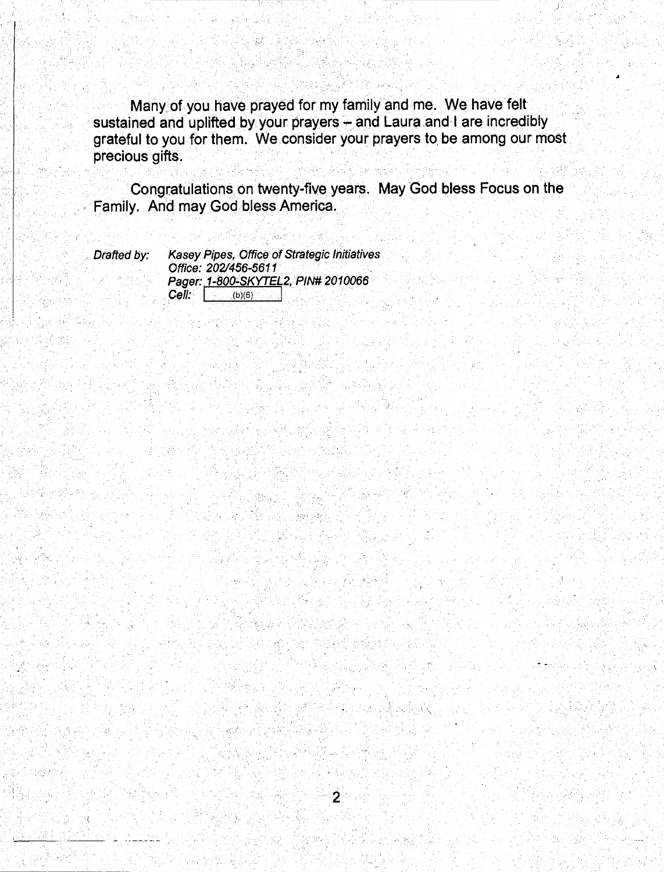Many of you have prayed for my family and me. We have felt sustained and uplifted by your prayers - and Laura and I are incredibly grateful to you for them. We consider your prayers to be among our most precious gifts.

Congratulations on twenty-five years. May God bless Focus on the Family. And may God bless America.

Drafted by:

Kasey Pipes, Office of Strategic Initiatives Office: 202/456-5611 Pager: 1-800-SKYTEL2, PIN# 2010066 **Cell:** (b)(6)

 $-$  stand  $\sim$  Se

 $\overline{2}$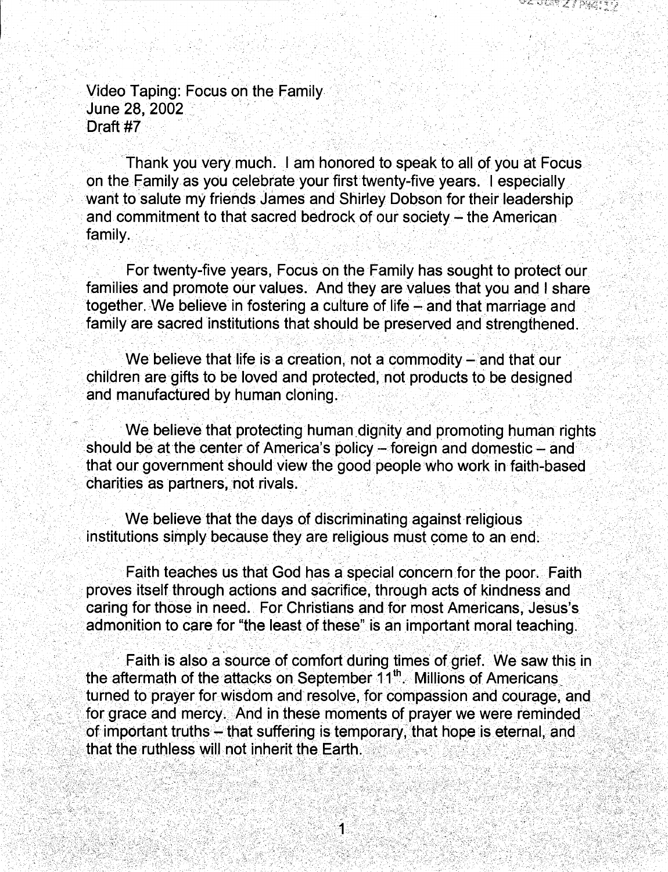Video Taping: Focus on the Family June 28, 2002 Draft #7

Thank you very much. I am honored to speak to all of you at Focus. on the Family as you celebrate your first twenty-five years. I especially want to salute my friends James and Shirley Dobson for their leadership and commitment to that sacred bedrock of our society - the American family.

For twenty-five years, Focus on the Family has sought to protect our families and promote our values. And they are values that you and I share together. We believe in fostering a culture of life - and that marriage and family are sacred institutions that should be preserved and strengthened.

. ." . ... . ·-

We believe that life is a creation, not a commodity  $-$  and that our children are gifts to be loved and protected, not products to be designed and manufactured by human cloning.

We believe that protecting human dignity and promoting human rights should be at the center of America's policy  $-$  foreign and domestic  $-$  and that our government should view the good people who work in faith-based charities as partners, not rivals.

We believe that the days of discriminating against religious institutions simply because they are religious must come to an end.

Faith teaches us that God has a special concern for the poor. Faith proves itself through actions and sacrifice, through acts of kindness and caring for those in need. For Christians and for most Americans, Jesus's admonition to care for "the least of these" is an important moral teaching.

Faith is also a source of comfort during times of grief. We saw this in the aftermath of the attacks on September  $11^{\text{th}}$ . Millions of Americans turned to prayer for wisdom and resolve, for compassion and courage, and for grace and mercy. And in these moments of prayer we were reminded of important truths - that suffering is temporary, that hope is eternal, and that the ruthless will not inherit the Earth.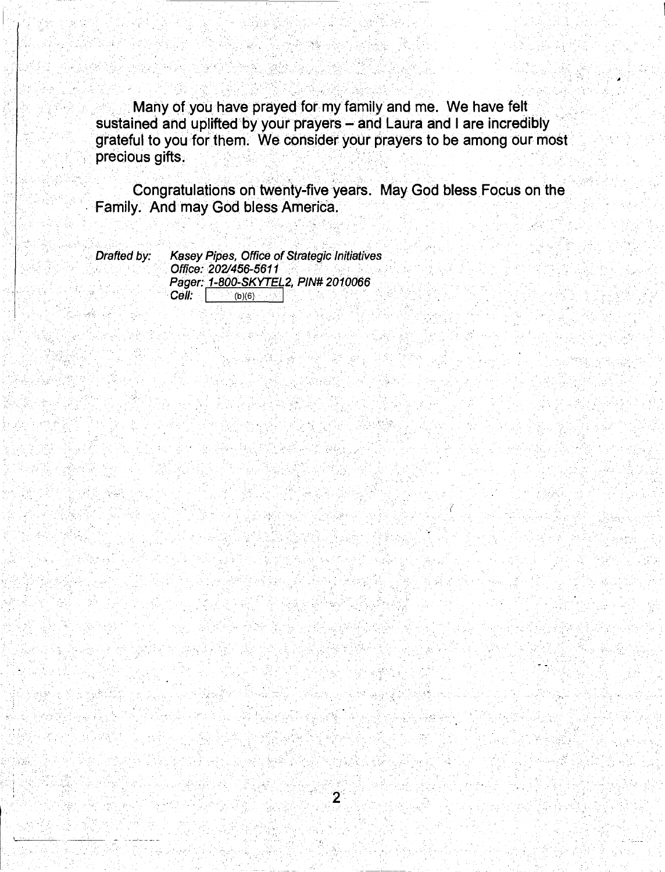Many of you have prayed for my family and me. We have felt sustained and uplifted by your prayers - and Laura and I are incredibly grateful to you for them. We consider your prayers to be among our most precious gifts.

Congratulations on twenty-five years. May God bless Focus on the Family. And may God bless America.

 $\overline{2}$ 

Drafted by:

Kasey Pipes, Office of Strategic Initiatives Office: 202/456-5611 Pager: 1-800-SKYTEL2, PIN# 2010066 Cell:  $(b)(6)$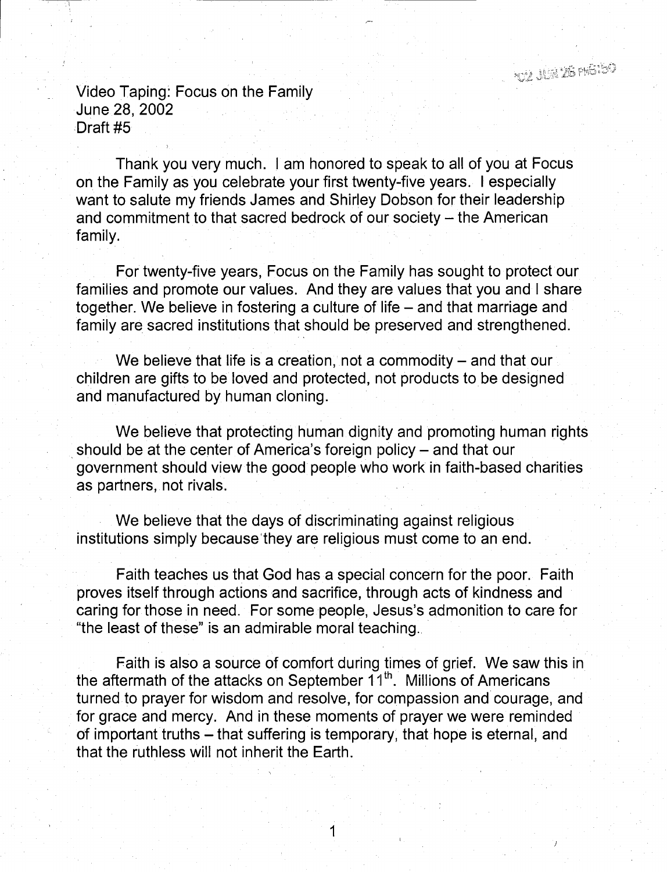nga itin iai mGabi

Video Taping: Focus on the Family June 28, 2002 Draft #5

Thank you very much. I am honored to speak to all of you at Focus on the Family as you celebrate your first twenty-five years. I especially want to salute my friends James and Shirley Dobson for their leadership and commitment to that sacred bedrock of our society  $-$  the American family.

For twenty-five years, Focus on the Family has sought to protect our families and promote our values. And they are values that you and I share together. We believe in fostering a culture of life – and that marriage and family are sacred institutions that should be preserved and strengthened.

We believe that life is a creation, not a commodity  $-$  and that our children are gifts to be loved and protected, not products to be designed and manufactured by human cloning.

We believe that protecting human dignity and promoting human rights should be at the center of America's foreign policy – and that our government should view the good people who work in faith-based charities as partners, not rivals.

We believe that the days of discriminating against religious institutions simply because'they are religious must come to an end.

Faith teaches us that God has a special concern for the poor. Faith proves itself through actions and sacrifice, through acts of kindness and caring for those in need. For some people, Jesus's admonition to care for "the least of these" is an admirable moral teaching. ·

Faith is also a source of comfort during times of grief. We saw this in the aftermath of the attacks on September  $11<sup>th</sup>$ . Millions of Americans turned to prayer for wisdom and resolve, for compassion and courage, and for grace and mercy. And in these moments of prayer we were reminded of important truths - that suffering is temporary, that hope is eternal, and that the ruthless will not inherit the Earth.

1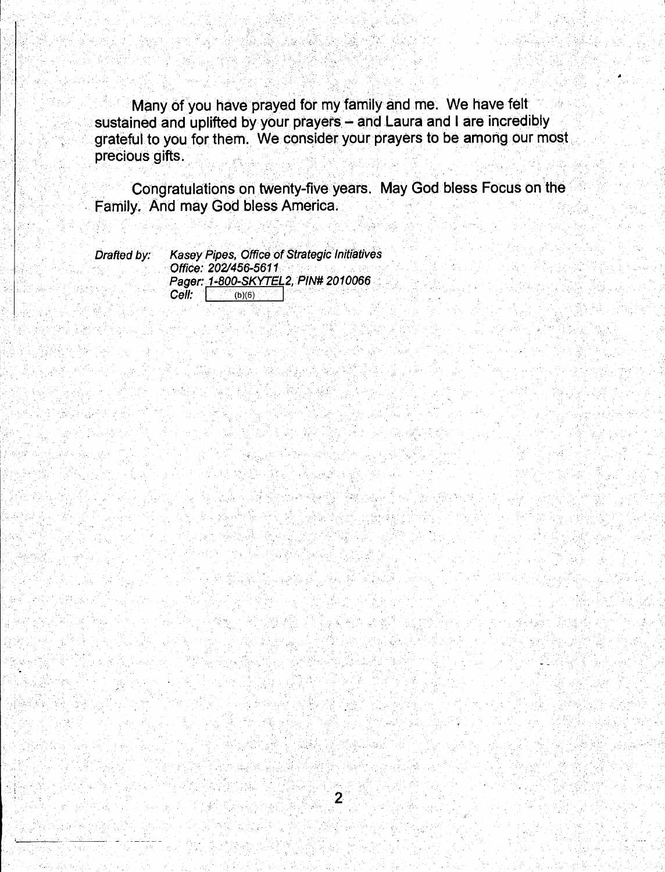Many of you have prayed for my family and me. We have felt sustained and uplifted by your prayers - and Laura and I are incredibly grateful to you for them. We consider your prayers to be among our most precious gifts.

Congratulations on twenty-five years. May God bless Focus on the Family. And may God bless America.

 $\overline{2}$ 

Drafted by:

**Kasey Pipes, Office of Strategic Initiatives** Office: 202/456-5611 Pager: 1-800-SKYTEL2, PIN# 2010066  $Cell:$  (b)(6)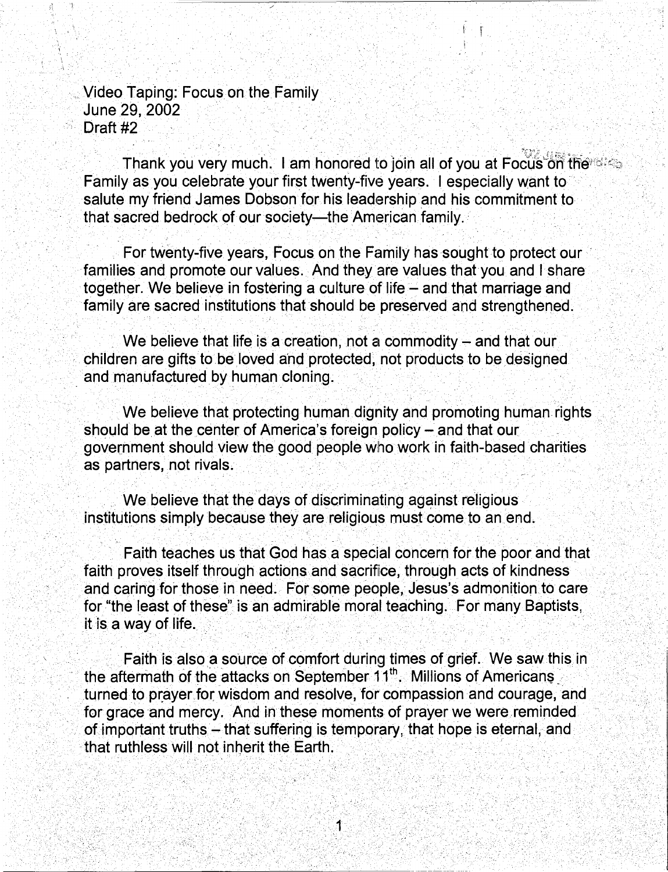. Video Taping: Focus on the Family . June 29, 2002 Draft #2

Thank you very much. I am honored to join all of you at Focus on the Family as you celebrate your first twenty-five years. I especially want to salute my friend James Dobson for his leadership and his commitment to that sacred bedrock of our society--the American family.

 $\mathbb{I} \subset \mathbb{I}$ 

For twenty-five years, Focus on the Family has sought to protect our families and promote our values. And they are values that you and I share together. We believe in fostering a culture of life  $-$  and that marriage and . family are sacred institutions that should be preserved and strengthened.

We believe that life is a creation, not a commodity  $-$  and that our children are gifts to be loved and protected, not products to be designed and manufactured by human cloning.

We believe that protecting human dignity and promoting human rights should be at the center of America's foreign policy - and that our government should view the good people who work in faith-based charities as partners, not rivals.

We believe that the days of discriminating against religious institutions simply because they are religious must come to an end.

Faith teaches us that God has a special concern for the poor and that faith proves itself through actions and sacrifice, through acts of kindness and caring for those in need. For some people, Jesus's admonition to care for "the least of these" is an admirable moral teaching. For many Baptists, it is a way of life.

Faith is also a source of comfort during times of grief. We saw this in the aftermath of the attacks on September 11<sup>th</sup>. Millions of Americans turned to prayer for wisdom and resolve, for compassion and courage, and for grace and mercy. And in these moments of prayer we were reminded of important truths - that suffering is temporary, that hope is eternal, and that ruthless will not inherit the Earth.